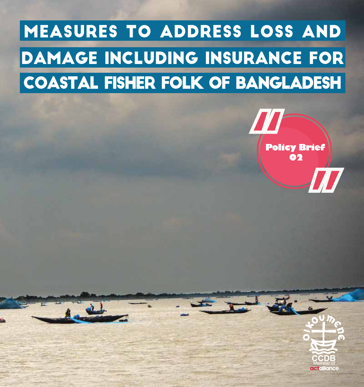## Measures to Address Loss and Damage Including Insurance for Coastal Fisher Folk of Bangladesh



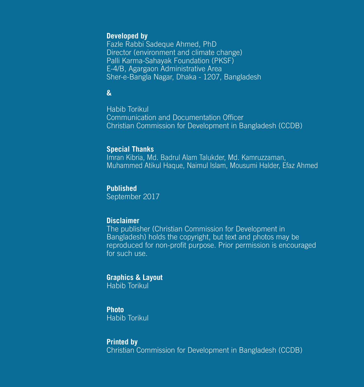#### **Developed by**

Fazle Rabbi Sadeque Ahmed, PhD Director (environment and climate change) Palli Karma-Sahayak Foundation (PKSF) E-4/B, Agargaon Administrative Area Sher-e-Bangla Nagar, Dhaka - 1207, Bangladesh

#### **&**

Habib Torikul Communication and Documentation Officer Christian Commission for Development in Bangladesh (CCDB)

#### **Special Thanks**

Imran Kibria, Md. Badrul Alam Talukder, Md. Kamruzzaman, Muhammed Atikul Haque, Naimul Islam, Mousumi Halder, Efaz Ahmed

#### **Published**

September 2017

#### **Disclaimer**

The publisher (Christian Commission for Development in Bangladesh) holds the copyright, but text and photos may be reproduced for non-profit purpose. Prior permission is encouraged for such use.

#### **Graphics & Layout**

Habib Torikul

#### **Photo**

Habib Torikul

#### **Printed by**

Christian Commission for Development in Bangladesh (CCDB)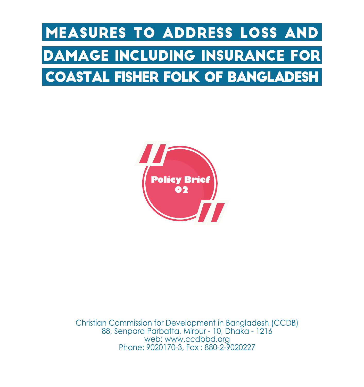## Measures to Address Loss and Damage Including Insurance for Coastal Fisher Folk of Bangladesh



Christian Commission for Development in Bangladesh (CCDB) 88, Senpara Parbatta, Mirpur - 10, Dhaka - 1216 web: www.ccdbbd.org Phone: 9020170-3, Fax : 880-2-9020227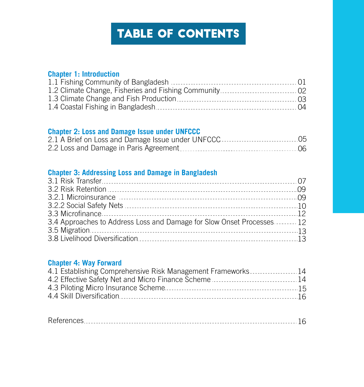## Table of CONTENTS

#### **Chapter 1: Introduction**

| $\bigcup$ |
|-----------|
|           |
|           |
| - 04      |

#### **Chapter 2: Loss and Damage Issue under UNFCCC**

#### **Chapter 3: Addressing Loss and Damage in Bangladesh**

| 3.4 Approaches to Address Loss and Damage for Slow Onset Processes 12 |
|-----------------------------------------------------------------------|
|                                                                       |
|                                                                       |
|                                                                       |

#### **Chapter 4: Way Forward**

| 4.1 Establishing Comprehensive Risk Management Frameworks14 |       |
|-------------------------------------------------------------|-------|
|                                                             |       |
|                                                             |       |
|                                                             | $-16$ |
|                                                             |       |

|--|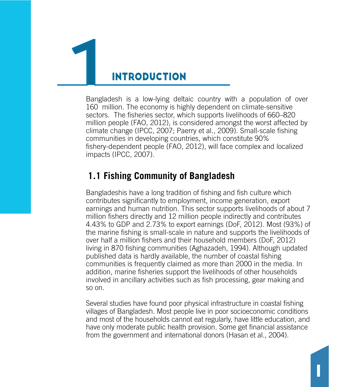## **INTRODUCTION**

Bangladesh is a low-lying deltaic country with a population of over 160 million. The economy is highly dependent on climate-sensitive sectors. The fisheries sector, which supports livelihoods of 660–820 million people (FAO, 2012), is considered amongst the worst affected by climate change (IPCC, 2007; Paerry et al., 2009). Small-scale fishing communities in developing countries, which constitute 90% fishery-dependent people (FAO, 2012), will face complex and localized impacts (IPCC, 2007).

#### **1.1 Fishing Community of Bangladesh**

Bangladeshis have a long tradition of fishing and fish culture which contributes significantly to employment, income generation, export earnings and human nutrition. This sector supports livelihoods of about 7 million fishers directly and 12 million people indirectly and contributes 4.43% to GDP and 2.73% to export earnings (DoF, 2012). Most (93%) of the marine fishing is small-scale in nature and supports the livelihoods of over half a million fishers and their household members (DoF, 2012) living in 870 fishing communities (Aghazadeh, 1994). Although updated published data is hardly available, the number of coastal fishing communities is frequently claimed as more than 2000 in the media. In addition, marine fisheries support the livelihoods of other households involved in ancillary activities such as fish processing, gear making and so on.

Several studies have found poor physical infrastructure in coastal fishing villages of Bangladesh. Most people live in poor socioeconomic conditions and most of the households cannot eat regularly, have little education, and have only moderate public health provision. Some get financial assistance from the government and international donors (Hasan et al., 2004).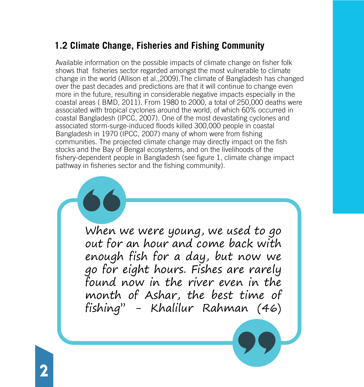## **1.2 Climate Change, Fisheries and Fishing Community**

Available information on the possible impacts of climate change on fisher folk shows that fisheries sector regarded amongst the most vulnerable to climate change in the world (Allison et al.,2009).The climate of Bangladesh has changed over the past decades and predictions are that it will continue to change even more in the future, resulting in considerable negative impacts especially in the coastal areas ( BMD, 2011). From 1980 to 2000, a total of 250,000 deaths were associated with tropical cyclones around the world, of which 60% occurred in coastal Bangladesh (IPCC, 2007). One of the most devastating cyclones and associated storm-surge-induced floods killed 300,000 people in coastal Bangladesh in 1970 (IPCC, 2007) many of whom were from fishing communities. The projected climate change may directly impact on the fish stocks and the Bay of Bengal ecosystems, and on the livelihoods of the fishery-dependent people in Bangladesh (see figure 1, climate change impact pathway in fisheries sector and the fishing community).

> When we were young, we used to go out for an hour and come back with enough fish for a day, but now we go for eight hours. Fishes are rarely found now in the river even in the month of Ashar, the best time of fishing'' - Khalilur Rahman (46)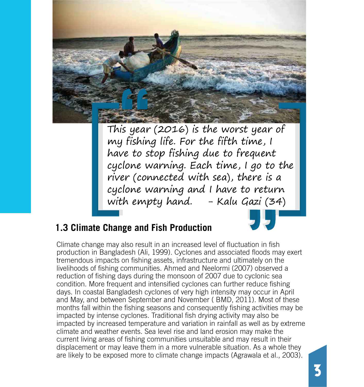

This year (2016) is the worst year of my fishing life. For the fifth time, I have to stop fishing due to frequent cyclone warning. Each time, I go to the river (connected with sea), there is a cyclone warning and I have to return with empty hand.  $-$  Kalu Gazi (34)

## **1.3 Climate Change and Fish Production**

Climate change may also result in an increased level of fluctuation in fish production in Bangladesh (Ali, 1999). Cyclones and associated floods may exert tremendous impacts on fishing assets, infrastructure and ultimately on the livelihoods of fishing communities. Ahmed and Neelormi (2007) observed a reduction of fishing days during the monsoon of 2007 due to cyclonic sea condition. More frequent and intensified cyclones can further reduce fishing days. In coastal Bangladesh cyclones of very high intensity may occur in April and May, and between September and November ( BMD, 2011). Most of these months fall within the fishing seasons and consequently fishing activities may be impacted by intense cyclones. Traditional fish drying activity may also be impacted by increased temperature and variation in rainfall as well as by extreme climate and weather events. Sea level rise and land erosion may make the current living areas of fishing communities unsuitable and may result in their displacement or may leave them in a more vulnerable situation. As a whole they are likely to be exposed more to climate change impacts (Agrawala et al., 2003).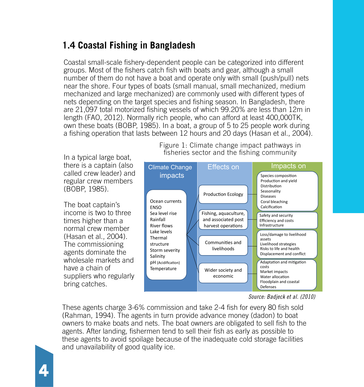## **1.4 Coastal Fishing in Bangladesh**

Coastal small-scale fishery-dependent people can be categorized into different groups. Most of the fishers catch fish with boats and gear, although a small number of them do not have a boat and operate only with small (push/pull) nets near the shore. Four types of boats (small manual, small mechanized, medium mechanized and large mechanized) are commonly used with different types of nets depending on the target species and fishing season. In Bangladesh, there are 21,097 total motorized fishing vessels of which 99.20% are less than 12m in length (FAO, 2012). Normally rich people, who can afford at least 400,000TK, own these boats (BOBP, 1985). In a boat, a group of 5 to 25 people work during a fishing operation that lasts between 12 hours and 20 days (Hasan et al., 2004).

In a typical large boat, there is a captain (also called crew leader) and regular crew members (BOBP, 1985).

The boat captain's income is two to three times higher than a normal crew member (Hasan et al., 2004). The commissioning agents dominate the wholesale markets and have a chain of suppliers who regularly bring catches.



Figure 1: Climate change impact pathways in fisheries sector and the fishing community

*Source: Badjeck et al. (2010)*

These agents charge 3-6% commission and take 2-4 fish for every 80 fish sold (Rahman, 1994). The agents in turn provide advance money (dadon) to boat owners to make boats and nets. The boat owners are obligated to sell fish to the agents. After landing, fishermen tend to sell their fish as early as possible to these agents to avoid spoilage because of the inadequate cold storage facilities and unavailability of good quality ice.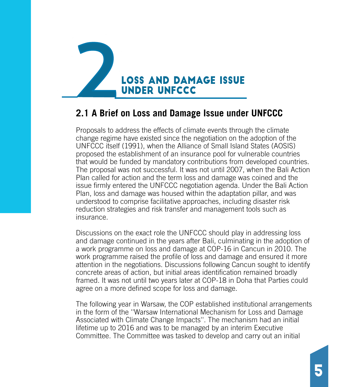

#### **2.1 A Brief on Loss and Damage Issue under UNFCCC**

Proposals to address the effects of climate events through the climate change regime have existed since the negotiation on the adoption of the UNFCCC itself (1991), when the Alliance of Small Island States (AOSIS) proposed the establishment of an insurance pool for vulnerable countries that would be funded by mandatory contributions from developed countries. The proposal was not successful. It was not until 2007, when the Bali Action Plan called for action and the term loss and damage was coined and the issue firmly entered the UNFCCC negotiation agenda. Under the Bali Action Plan, loss and damage was housed within the adaptation pillar, and was understood to comprise facilitative approaches, including disaster risk reduction strategies and risk transfer and management tools such as insurance.

Discussions on the exact role the UNFCCC should play in addressing loss and damage continued in the years after Bali, culminating in the adoption of a work programme on loss and damage at COP-16 in Cancun in 2010. The work programme raised the profile of loss and damage and ensured it more attention in the negotiations. Discussions following Cancun sought to identify concrete areas of action, but initial areas identification remained broadly framed. It was not until two years later at COP-18 in Doha that Parties could agree on a more defined scope for loss and damage.

The following year in Warsaw, the COP established institutional arrangements in the form of the ''Warsaw International Mechanism for Loss and Damage Associated with Climate Change Impacts''. The mechanism had an initial lifetime up to 2016 and was to be managed by an interim Executive Committee. The Committee was tasked to develop and carry out an initial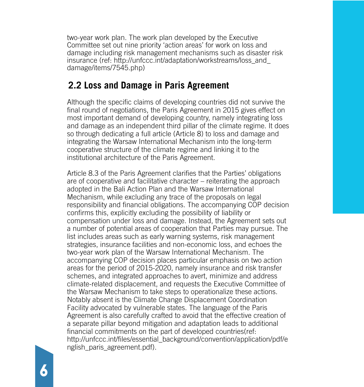two-year work plan. The work plan developed by the Executive Committee set out nine priority 'action areas' for work on loss and damage including risk management mechanisms such as disaster risk insurance (ref: http://unfccc.int/adaptation/workstreams/loss\_and\_ damage/items/7545.php)

#### **2.2 Loss and Damage in Paris Agreement**

Although the specific claims of developing countries did not survive the final round of negotiations, the Paris Agreement in 2015 gives effect on most important demand of developing country, namely integrating loss and damage as an independent third pillar of the climate regime. It does so through dedicating a full article (Article 8) to loss and damage and integrating the Warsaw International Mechanism into the long-term cooperative structure of the climate regime and linking it to the institutional architecture of the Paris Agreement.

Article 8.3 of the Paris Agreement clarifies that the Parties' obligations are of cooperative and facilitative character – reiterating the approach adopted in the Bali Action Plan and the Warsaw International Mechanism, while excluding any trace of the proposals on legal responsibility and financial obligations. The accompanying COP decision confirms this, explicitly excluding the possibility of liability or compensation under loss and damage. Instead, the Agreement sets out a number of potential areas of cooperation that Parties may pursue. The list includes areas such as early warning systems, risk management strategies, insurance facilities and non-economic loss, and echoes the two-year work plan of the Warsaw International Mechanism. The accompanying COP decision places particular emphasis on two action areas for the period of 2015-2020, namely insurance and risk transfer schemes, and integrated approaches to avert, minimize and address climate-related displacement, and requests the Executive Committee of the Warsaw Mechanism to take steps to operationalize these actions. Notably absent is the Climate Change Displacement Coordination Facility advocated by vulnerable states. The language of the Paris Agreement is also carefully crafted to avoid that the effective creation of a separate pillar beyond mitigation and adaptation leads to additional financial commitments on the part of developed countries(ref: http://unfccc.int/files/essential\_background/convention/application/pdf/e nglish\_paris\_agreement.pdf).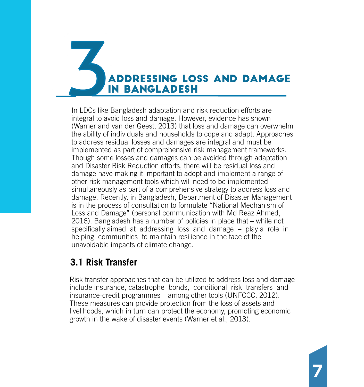# Addressing Loss and Damage in Bangladesh

In LDCs like Bangladesh adaptation and risk reduction efforts are integral to avoid loss and damage. However, evidence has shown (Warner and van der Geest, 2013) that loss and damage can overwhelm the ability of individuals and households to cope and adapt. Approaches to address residual losses and damages are integral and must be implemented as part of comprehensive risk management frameworks. Though some losses and damages can be avoided through adaptation and Disaster Risk Reduction efforts, there will be residual loss and damage have making it important to adopt and implement a range of other risk management tools which will need to be implemented simultaneously as part of a comprehensive strategy to address loss and damage. Recently, in Bangladesh, Department of Disaster Management is in the process of consultation to formulate "National Mechanism of Loss and Damage" (personal communication with Md Reaz Ahmed, 2016). Bangladesh has a number of policies in place that – while not specifically aimed at addressing loss and damage – play a role in helping communities to maintain resilience in the face of the unavoidable impacts of climate change.

## **3.1 Risk Transfer**

Risk transfer approaches that can be utilized to address loss and damage include insurance, catastrophe bonds, conditional risk transfers and insurance-credit programmes – among other tools (UNFCCC, 2012). These measures can provide protection from the loss of assets and livelihoods, which in turn can protect the economy, promoting economic growth in the wake of disaster events (Warner et al., 2013).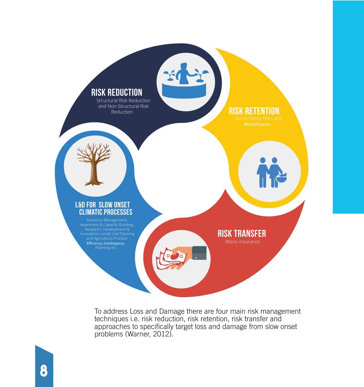

To address Loss and Damage there are four main risk management techniques i.e. risk reduction, risk retention, risk transfer and approaches to specifically target loss and damage from slow onset problems (Warner, 2012).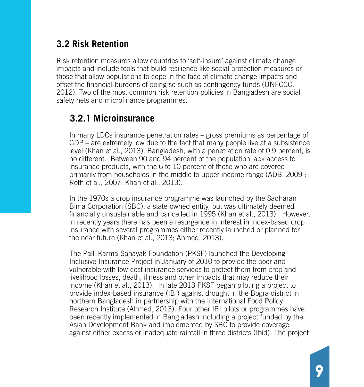## **3.2 Risk Retention**

Risk retention measures allow countries to 'self-insure' against climate change impacts and include tools that build resilience like social protection measures or those that allow populations to cope in the face of climate change impacts and offset the financial burdens of doing so such as contingency funds (UNFCCC, 2012). Two of the most common risk retention policies in Bangladesh are social safety nets and microfinance programmes.

#### **3.2.1 Microinsurance**

In many LDCs insurance penetration rates – gross premiums as percentage of GDP – are extremely low due to the fact that many people live at a subsistence level (Khan et al., 2013). Bangladesh, with a penetration rate of 0.9 percent, is no different. Between 90 and 94 percent of the population lack access to insurance products, with the 6 to 10 percent of those who are covered primarily from households in the middle to upper income range (ADB, 2009 ; Roth et al., 2007; Khan et al., 2013).

In the 1970s a crop insurance programme was launched by the Sadharan Bima Corporation (SBC), a state-owned entity, but was ultimately deemed financially unsustainable and cancelled in 1995 (Khan et al., 2013). However, in recently years there has been a resurgence in interest in index-based crop insurance with several programmes either recently launched or planned for the near future (Khan et al., 2013; Ahmed, 2013).

The Palli Karma-Sahayak Foundation (PKSF) launched the Developing Inclusive Insurance Project in January of 2010 to provide the poor and vulnerable with low-cost insurance services to protect them from crop and livelihood losses, death, illness and other impacts that may reduce their income (Khan et al., 2013). In late 2013 PKSF began piloting a project to provide index-based insurance (IBI) against drought in the Bogra district in northern Bangladesh in partnership with the International Food Policy Research Institute (Ahmed, 2013). Four other IBI pilots or programmes have been recently implemented in Bangladesh including a project funded by the Asian Development Bank and implemented by SBC to provide coverage against either excess or inadequate rainfall in three districts (Ibid). The project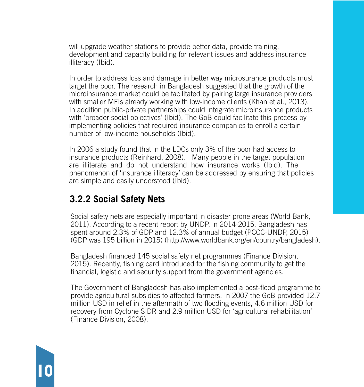will upgrade weather stations to provide better data, provide training, development and capacity building for relevant issues and address insurance illiteracy (Ibid).

In order to address loss and damage in better way microsurance products must target the poor. The research in Bangladesh suggested that the growth of the microinsurance market could be facilitated by pairing large insurance providers with smaller MFIs already working with low-income clients (Khan et al., 2013). In addition public-private partnerships could integrate microinsurance products with 'broader social objectives' (Ibid). The GoB could facilitate this process by implementing policies that required insurance companies to enroll a certain number of low-income households (Ibid).

In 2006 a study found that in the LDCs only 3% of the poor had access to insurance products (Reinhard, 2008). Many people in the target population are illiterate and do not understand how insurance works (Ibid). The phenomenon of 'insurance illiteracy' can be addressed by ensuring that policies are simple and easily understood (Ibid).

#### **3.2.2 Social Safety Nets**

10

Social safety nets are especially important in disaster prone areas (World Bank, 2011). According to a recent report by UNDP, in 2014-2015, Bangladesh has spent around 2.3% of GDP and 12.3% of annual budget (PCCC-UNDP, 2015) (GDP was 195 billion in 2015) (http://www.worldbank.org/en/country/bangladesh).

Bangladesh financed 145 social safety net programmes (Finance Division, 2015). Recently, fishing card introduced for the fishing community to get the financial, logistic and security support from the government agencies.

The Government of Bangladesh has also implemented a post-flood programme to provide agricultural subsidies to affected farmers. In 2007 the GoB provided 12.7 million USD in relief in the aftermath of two flooding events, 4.6 million USD for recovery from Cyclone SIDR and 2.9 million USD for 'agricultural rehabilitation' (Finance Division, 2008).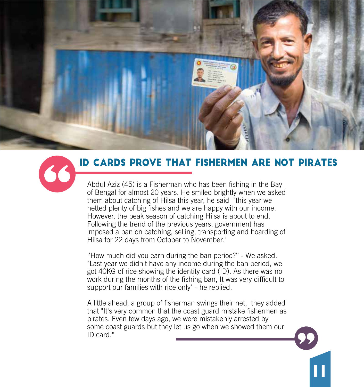



## ID Cards Prove that Fishermen are not Pirates

Abdul Aziz (45) is a Fisherman who has been fishing in the Bay of Bengal for almost 20 years. He smiled brightly when we asked them about catching of Hilsa this year, he said "this year we netted plenty of big fishes and we are happy with our income. However, the peak season of catching Hilsa is about to end. Following the trend of the previous years, government has imposed a ban on catching, selling, transporting and hoarding of Hilsa for 22 days from October to November."

''How much did you earn during the ban period?'' - We asked. "Last year we didn't have any income during the ban period, we got 40KG of rice showing the identity card (ID). As there was no work during the months of the fishing ban, It was very difficult to support our families with rice only" - he replied.

A little ahead, a group of fisherman swings their net, they added that "It's very common that the coast guard mistake fishermen as pirates. Even few days ago, we were mistakenly arrested by some coast guards but they let us go when we showed them our ID card."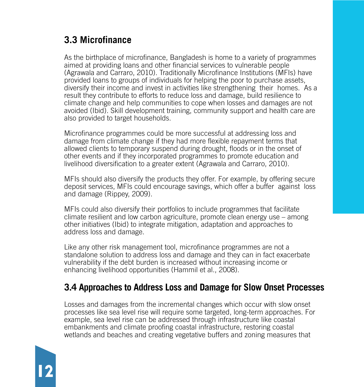## **3.3 Microfinance**

12

As the birthplace of microfinance, Bangladesh is home to a variety of programmes aimed at providing loans and other financial services to vulnerable people (Agrawala and Carraro, 2010). Traditionally Microfinance Institutions (MFIs) have provided loans to groups of individuals for helping the poor to purchase assets, diversify their income and invest in activities like strengthening their homes. As a result they contribute to efforts to reduce loss and damage, build resilience to climate change and help communities to cope when losses and damages are not avoided (Ibid). Skill development training, community support and health care are also provided to target households.

Microfinance programmes could be more successful at addressing loss and damage from climate change if they had more flexible repayment terms that allowed clients to temporary suspend during drought, floods or in the onset of other events and if they incorporated programmes to promote education and livelihood diversification to a greater extent (Agrawala and Carraro, 2010).

MFIs should also diversify the products they offer. For example, by offering secure deposit services, MFIs could encourage savings, which offer a buffer against loss and damage (Rippey, 2009).

MFIs could also diversify their portfolios to include programmes that facilitate climate resilient and low carbon agriculture, promote clean energy use – among other initiatives (Ibid) to integrate mitigation, adaptation and approaches to address loss and damage.

Like any other risk management tool, microfinance programmes are not a standalone solution to address loss and damage and they can in fact exacerbate vulnerability if the debt burden is increased without increasing income or enhancing livelihood opportunities (Hammil et al., 2008).

#### **3.4 Approaches to Address Loss and Damage for Slow Onset Processes**

Losses and damages from the incremental changes which occur with slow onset processes like sea level rise will require some targeted, long-term approaches. For example, sea level rise can be addressed through infrastructure like coastal embankments and climate proofing coastal infrastructure, restoring coastal wetlands and beaches and creating vegetative buffers and zoning measures that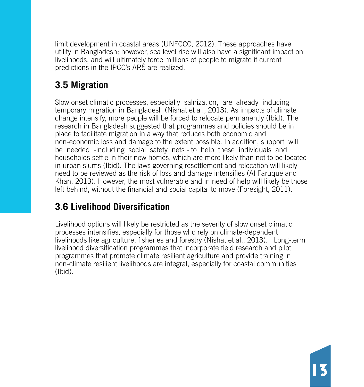limit development in coastal areas (UNFCCC, 2012). These approaches have utility in Bangladesh; however, sea level rise will also have a significant impact on livelihoods, and will ultimately force millions of people to migrate if current predictions in the IPCC's AR5 are realized.

## **3.5 Migration**

Slow onset climatic processes, especially salnization, are already inducing temporary migration in Bangladesh (Nishat et al., 2013). As impacts of climate change intensify, more people will be forced to relocate permanently (Ibid). The research in Bangladesh suggested that programmes and policies should be in place to facilitate migration in a way that reduces both economic and non-economic loss and damage to the extent possible. In addition, support will be needed -including social safety nets - to help these individuals and households settle in their new homes, which are more likely than not to be located in urban slums (Ibid). The laws governing resettlement and relocation will likely need to be reviewed as the risk of loss and damage intensifies (Al Faruque and Khan, 2013). However, the most vulnerable and in need of help will likely be those left behind, without the financial and social capital to move (Foresight, 2011).

## **3.6 Livelihood Diversification**

Livelihood options will likely be restricted as the severity of slow onset climatic processes intensifies, especially for those who rely on climate-dependent livelihoods like agriculture, fisheries and forestry (Nishat et al., 2013). Long-term livelihood diversification programmes that incorporate field research and pilot programmes that promote climate resilient agriculture and provide training in non-climate resilient livelihoods are integral, especially for coastal communities (Ibid).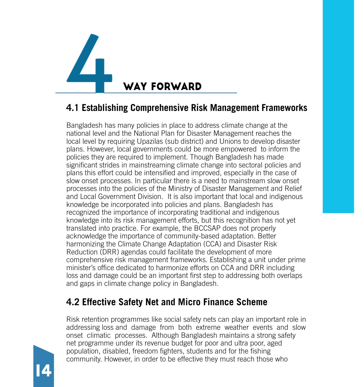

## **4.1 Establishing Comprehensive Risk Management Frameworks**

Bangladesh has many policies in place to address climate change at the national level and the National Plan for Disaster Management reaches the local level by requiring Upazilas (sub district) and Unions to develop disaster plans. However, local governments could be more empowered to inform the policies they are required to implement. Though Bangladesh has made significant strides in mainstreaming climate change into sectoral policies and plans this effort could be intensified and improved, especially in the case of slow onset processes. In particular there is a need to mainstream slow onset processes into the policies of the Ministry of Disaster Management and Relief and Local Government Division. It is also important that local and indigenous knowledge be incorporated into policies and plans. Bangladesh has recognized the importance of incorporating traditional and indigenous knowledge into its risk management efforts, but this recognition has not yet translated into practice. For example, the BCCSAP does not properly acknowledge the importance of community-based adaptation. Better harmonizing the Climate Change Adaptation (CCA) and Disaster Risk Reduction (DRR) agendas could facilitate the development of more comprehensive risk management frameworks. Establishing a unit under prime minister's office dedicated to harmonize efforts on CCA and DRR including loss and damage could be an important first step to addressing both overlaps and gaps in climate change policy in Bangladesh.

#### **4.2 Effective Safety Net and Micro Finance Scheme**

Risk retention programmes like social safety nets can play an important role in addressing loss and damage from both extreme weather events and slow onset climatic processes. Although Bangladesh maintains a strong safety net programme under its revenue budget for poor and ultra poor, aged population, disabled, freedom fighters, students and for the fishing community. However, in order to be effective they must reach those who

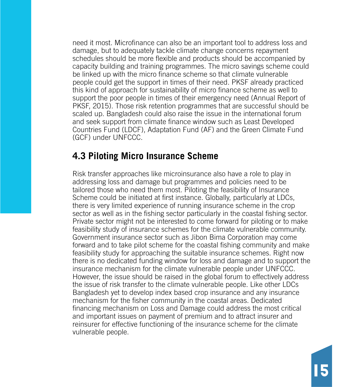need it most. Microfinance can also be an important tool to address loss and damage, but to adequately tackle climate change concerns repayment schedules should be more flexible and products should be accompanied by capacity building and training programmes. The micro savings scheme could be linked up with the micro finance scheme so that climate vulnerable people could get the support in times of their need. PKSF already practiced this kind of approach for sustainability of micro finance scheme as well to support the poor people in times of their emergency need (Annual Report of PKSF, 2015). Those risk retention programmes that are successful should be scaled up. Bangladesh could also raise the issue in the international forum and seek support from climate finance window such as Least Developed Countries Fund (LDCF), Adaptation Fund (AF) and the Green Climate Fund (GCF) under UNFCCC.

#### **4.3 Piloting Micro Insurance Scheme**

Risk transfer approaches like microinsurance also have a role to play in addressing loss and damage but programmes and policies need to be tailored those who need them most. Piloting the feasibility of Insurance Scheme could be initiated at first instance. Globally, particularly at LDCs, there is very limited experience of running insurance scheme in the crop sector as well as in the fishing sector particularly in the coastal fishing sector. Private sector might not be interested to come forward for piloting or to make feasibility study of insurance schemes for the climate vulnerable community. Government insurance sector such as Jibon Bima Corporation may come forward and to take pilot scheme for the coastal fishing community and make feasibility study for approaching the suitable insurance schemes. Right now there is no dedicated funding window for loss and damage and to support the insurance mechanism for the climate vulnerable people under UNFCCC. However, the issue should be raised in the global forum to effectively address the issue of risk transfer to the climate vulnerable people. Like other LDCs Bangladesh yet to develop index based crop insurance and any insurance mechanism for the fisher community in the coastal areas. Dedicated financing mechanism on Loss and Damage could address the most critical and important issues on payment of premium and to attract insurer and reinsurer for effective functioning of the insurance scheme for the climate vulnerable people.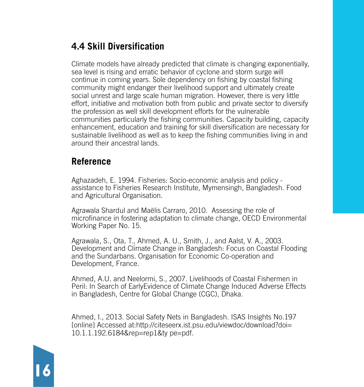## **4.4 Skill Diversification**

Climate models have already predicted that climate is changing exponentially, sea level is rising and erratic behavior of cyclone and storm surge will continue in coming years. Sole dependency on fishing by coastal fishing community might endanger their livelihood support and ultimately create social unrest and large scale human migration. However, there is very little effort, initiative and motivation both from public and private sector to diversify the profession as well skill development efforts for the vulnerable communities particularly the fishing communities. Capacity building, capacity enhancement, education and training for skill diversification are necessary for sustainable livelihood as well as to keep the fishing communities living in and around their ancestral lands.

#### **Reference**

Aghazadeh, E. 1994. Fisheries: Socio-economic analysis and policy assistance to Fisheries Research Institute, Mymensingh, Bangladesh. Food and Agricultural Organisation.

Agrawala Shardul and Maëlis Carraro, 2010. Assessing the role of microfinance in fostering adaptation to climate change, OECD Environmental Working Paper No. 15.

Agrawala, S., Ota, T., Ahmed, A. U., Smith, J., and Aalst, V. A., 2003. Development and Climate Change in Bangladesh: Focus on Coastal Flooding and the Sundarbans. Organisation for Economic Co-operation and Development, France.

Ahmed, A.U. and Neelormi, S., 2007. Livelihoods of Coastal Fishermen in Peril: In Search of EarlyEvidence of Climate Change Induced Adverse Effects in Bangladesh, Centre for Global Change (CGC), Dhaka.

Ahmed, I., 2013. Social Safety Nets in Bangladesh. ISAS Insights No.197 [online] Accessed at:http://citeseerx.ist.psu.edu/viewdoc/download?doi= 10.1.1.192.6184&rep=rep1&ty pe=pdf.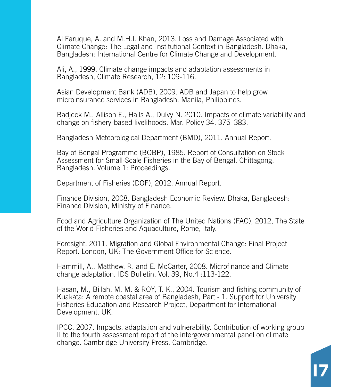Al Faruque, A. and M.H.I. Khan, 2013. Loss and Damage Associated with Climate Change: The Legal and Institutional Context in Bangladesh. Dhaka, Bangladesh: International Centre for Climate Change and Development.

Ali, A., 1999. Climate change impacts and adaptation assessments in Bangladesh, Climate Research, 12: 109-116.

Asian Development Bank (ADB), 2009. ADB and Japan to help grow microinsurance services in Bangladesh. Manila, Philippines.

Badjeck M., Allison E., Halls A., Dulvy N. 2010. Impacts of climate variability and change on fishery-based livelihoods. Mar. Policy 34, 375–383.

Bangladesh Meteorological Department (BMD), 2011. Annual Report.

Bay of Bengal Programme (BOBP), 1985. Report of Consultation on Stock Assessment for Small-Scale Fisheries in the Bay of Bengal. Chittagong, Bangladesh. Volume 1: Proceedings.

Department of Fisheries (DOF), 2012. Annual Report.

Finance Division, 2008. Bangladesh Economic Review. Dhaka, Bangladesh: Finance Division, Ministry of Finance.

Food and Agriculture Organization of The United Nations (FAO), 2012, The State of the World Fisheries and Aquaculture, Rome, Italy.

Foresight, 2011. Migration and Global Environmental Change: Final Project Report. London, UK: The Government Office for Science.

Hammill, A., Matthew, R. and E. McCarter, 2008. Microfinance and Climate change adaptation. IDS Bulletin. Vol. 39, No.4 :113-122.

Hasan, M., Billah, M. M. & ROY, T. K., 2004. Tourism and fishing community of Kuakata: A remote coastal area of Bangladesh, Part - 1. Support for University Fisheries Education and Research Project, Department for International Development, UK.

IPCC, 2007. Impacts, adaptation and vulnerability. Contribution of working group II to the fourth assessment report of the intergovernmental panel on climate change. Cambridge University Press, Cambridge.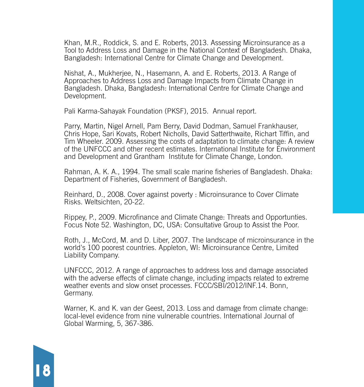Khan, M.R., Roddick, S. and E. Roberts, 2013. Assessing Microinsurance as a Tool to Address Loss and Damage in the National Context of Bangladesh. Dhaka, Bangladesh: International Centre for Climate Change and Development.

Nishat, A., Mukherjee, N., Hasemann, A. and E. Roberts, 2013. A Range of Approaches to Address Loss and Damage Impacts from Climate Change in Bangladesh. Dhaka, Bangladesh: International Centre for Climate Change and Development.

Pali Karma-Sahayak Foundation (PKSF), 2015. Annual report.

Parry, Martin, Nigel Arnell, Pam Berry, David Dodman, Samuel Frankhauser, Chris Hope, Sari Kovats, Robert Nicholls, David Satterthwaite, Richart Tiffin, and Tim Wheeler. 2009. Assessing the costs of adaptation to climate change: A review of the UNFCCC and other recent estimates. International Institute for Environment and Development and Grantham Institute for Climate Change, London.

Rahman, A. K. A., 1994. The small scale marine fisheries of Bangladesh. Dhaka: Department of Fisheries, Government of Bangladesh.

Reinhard, D., 2008. Cover against poverty : Microinsurance to Cover Climate Risks. Weltsichten, 20-22.

Rippey, P., 2009. Microfinance and Climate Change: Threats and Opportunties. Focus Note 52. Washington, DC, USA: Consultative Group to Assist the Poor.

Roth, J., McCord, M. and D. Liber, 2007. The landscape of microinsurance in the world's 100 poorest countries. Appleton, WI: Microinsurance Centre, Limited Liability Company.

UNFCCC, 2012. A range of approaches to address loss and damage associated with the adverse effects of climate change, including impacts related to extreme weather events and slow onset processes. FCCC/SBI/2012/INF.14. Bonn, Germany.

Warner, K. and K. van der Geest, 2013. Loss and damage from climate change: local-level evidence from nine vulnerable countries. International Journal of Global Warming, 5, 367-386.